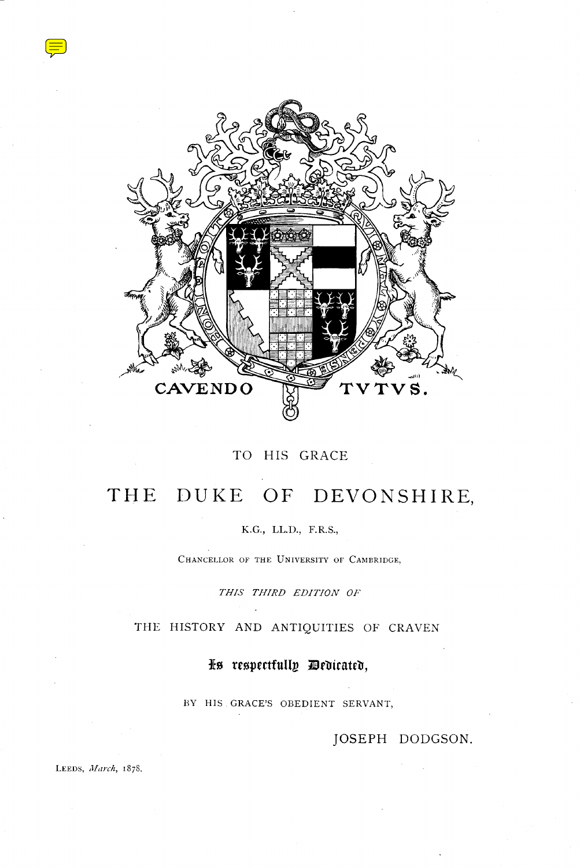

## TO HIS GRACE

# THE DUKE OF DEVONSHIRE,

K.G., LL.D., F.R.S.,

CHANCELLOR OF THE UNIVERSITY OF CAMBRIDGE,

THIS THIRD EDITION OF

THE HISTORY AND ANTIQUITIES OF CRAVEN

fo reopectfulty Mrbicateb,

BY HIS . GRACE'S OBEDIENT SERVANT,

JOSEPH DODGSON.

LEEDS, March, 1878.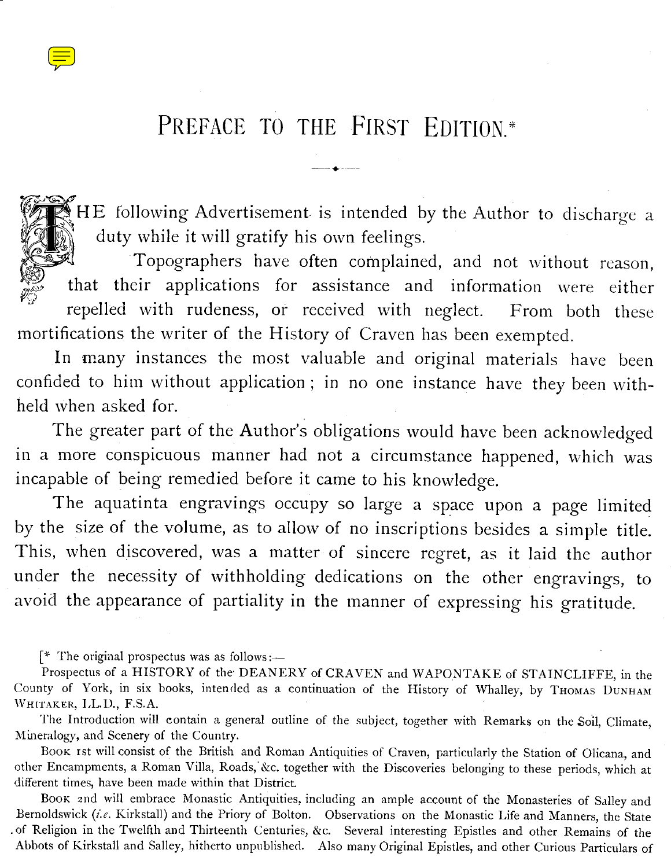# PREFACE TO THE FIRST EDITION<sup>\*</sup>  $\sqrt{\frac{1}{n}}$  PREFA

HE following Advertisement. is intended by the Author to discharge a duty while it will gratify his own feelings.

Topographers have often complained, and not without reason, h that their applications for assistance and information were either repelled with rudeness, or received with neglect. From both these mortifications the writer of the History of Craven has been exempted.

In many instances the most valuable and original materials have been confided to him without application ; in no one instance have they been withheld when asked for.

The greater part of the Author's obligations would have been acknowledged in a more conspicuous manner had not a circumstance happened, which was incapable of being remedied before it came to his knowledge.

The aquatinta engravings occupy so large a space upon a page limited by the size of the volume, as to allow of no inscriptions besides a simple title. This, when discovered, was a matter of sincere regret, as it laid the author under the necessity of withholding dedications on the other engravings, to avoid the appearance of partiality in the manner of expressing his gratitude.

 $[$ <sup>\*</sup> The original prospectus was as follows :—

<u>g . v .</u>

 

74

 $\cup$   $\alpha$ 

Prospectus of a HISTORY of the DEANERY of CRAVEN and WAPONTAKE of STAINCLIFFE, in the County of York, in six books, intended as a continuation of the History of Whalley, by THOMAS DUNHAM WHITAKER, L.L.D., F.S.A.

The Introduction will contain a general outline of the subject, together with Remarks on the Soil, Climate, Mineralogy, and Scenery of the Country.

Boox 1st will consist of the British and Roman Antiquities of Craven, particularly the Station of Olicana, and other Encampments, a Roman Villa, Roads, &c. together with the Discoveries belonging to these periods, which at different times, have been made within that District.

BOOK 2nd will embrace Monastic Antiquities, including an ample account of the Monasteries of Salley and Bernoldswick (i.e. Kirkstall) and the Priory of Bolton. Observations on the Monastic Life and Manners, the State .of Religion in the Twelfth and Thirteenth Centuries, &c . Several interesting Epistles and other Remains of the Abbots of Kirkstall and Salley, hitherto unpublished. Also many Original Epistles, and other Curious Particulars of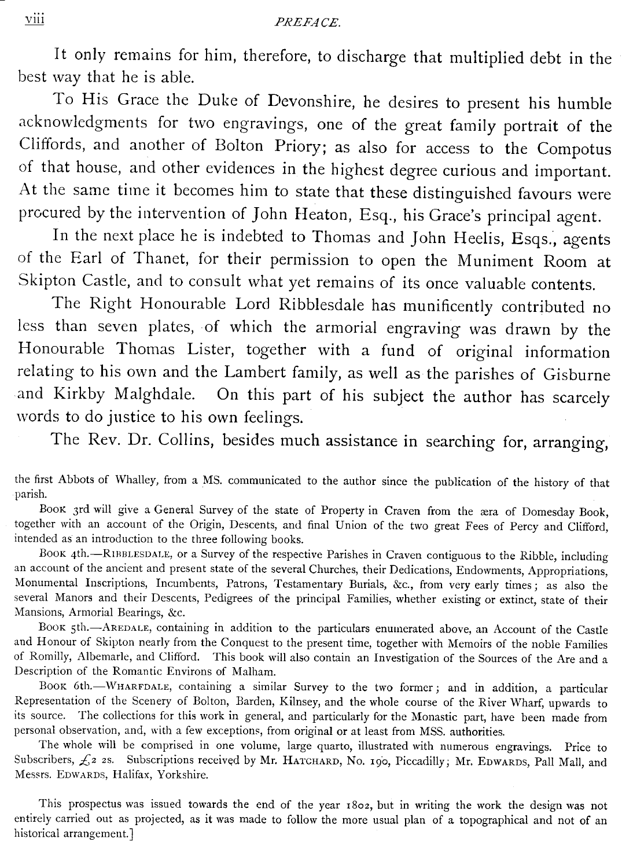## PREFACE.

It only remains for him, therefore, to discharge that multiplied debt in the best way that he is able.

To His Grace the Duke of Devonshire, he desires to present his humble acknowledgments for two engravings, one of the great family portrait of the Cliffords, and another of Bolton Priory; as also for access to the Compotus of that house, and other evidences in the highest degree curious and important. At the same time it becomes him to state that these distinguished favours were procured by the intervention of John Heaton, Esq., his Grace's principal agent.

In the next place he is indebted to Thomas and John Heelis, Esqs., agents of the Earl of Thanet, for their permission to open the Muniment Room at Skipton Castle, and to consult what yet remains of its once valuable contents.

The Right Honourable Lord Ribblesdale has munificently contributed no less than seven plates, of which the armorial engraving was drawn by the Honourable Thomas Lister, together with a fund of original information relating to his own and the Lambert family, as well as the parishes of Gisburne and Kirkby Malghdale. On this part of his subject the author has scarcely words to do justice to his own feelings.

The Rev. Dr. Collins, besides much assistance in searching for, arranging,

the first Abbots of Whalley, from a MS. communicated to the author since the publication of the history of that parish.

Boox 3rd will give a General Survey of the state of Property in Craven from the aera of Domesday Book, together with an account of the Origin, Descents, and final Union of the two great Fees of Percy and Clifford, intended as an introduction to the three following books .

BOOK 4th.-RIBBLESDALE, or a Survey of the respective Parishes in Craven contiguous to the Ribble, including an account of the ancient and present state of the several Churches, their Dedications, Endowments, Appropriations, Monumental Inscriptions, Incumbents, Patrons, Testamentary Burials, &c ., from very early times ; as also the several Manors and their Descents, Pedigrees of the principal Families, whether existing or extinct, state of their Mansions, Armorial Bearings, &c.

BOOK 5th.-AREDALE, containing in addition to the particulars enumerated above, an Account of the Castle and Honour of Skipton nearly from the Conquest to the present time, together with Memoirs of the noble Families of Romilly, Albemarle, and Clifford. This book will also contain an Investigation of the Sources of the Are and a Description of the Romantic Environs of Malham.

BOOK 6th.-WHARFDALE, containing a similar Survey to the two former; and in addition, a particular Representation of the Scenery of Bolton, Barden, Kilnsey, and the whole course of the River Wharf, upwards to its source. The collections for this work in general, and particularly for the Monastic part, have been made from personal observation, and, with a few exceptions, from original or at least from MSS . authorities .

The whole will be comprised in one volume, large quarto, illustrated with numerous engravings. Price to Subscribers,  $\xi$ 2 2s. Subscriptions received by Mr. HATCHARD, No. 190, Piccadilly; Mr. EDWARDS, Pall Mall, and Messrs. EDWARDS, Halifax, Yorkshire.

This prospectus was issued towards the end of the year 1802, but in writing the work the design was not entirely carried out as projected, as it was made to follow the more usual plan of a topographical and not of an historical arrangement.]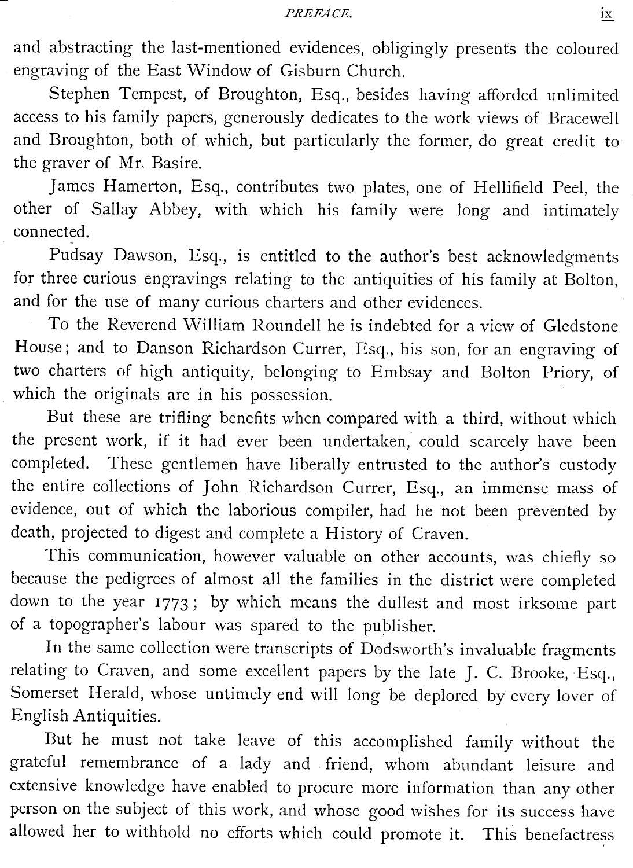and abstracting the<br>engraving of the Ease and abstracting the last-mentioned evidences, obligingly presents the coloured engraving of the East Window of Gisburn Church.

Stephen Tempest, of Broughton, Esq., besides having afforded unlimited access to his family papers, generously dedicates to the work views of Bracewell and Broughton, both of which, but particularly the former, do great credit to the graver of Mr. Basire.

James Hamerton, Esq., contributes two plates, one of Hellifield Peel, the other of Sallay Abbey, with which his family were long and intimately connected.

Pudsay Dawson, Esq., is entitled to the author's best acknowledgments for three curious engravings relating to the antiquities of his family at Bolton, and for the use of many curious charters and other evidences.

To the Reverend William Roundell he is indebted for a view of Gledstone House; and to Danson Richardson Currer, Esq., his son, for an engraving of two charters of high antiquity, belonging to Embsay and Bolton Priory, of which the originals are in his possession.

But these are trifling benefits when compared with a third, without which the present work, if it had ever been undertaken, could scarcely have been completed. These gentlemen have liberally entrusted to the author's custody the entire collections of John Richardson Currer, Esq., an immense mass of evidence, out of which the laborious compiler, had he not been prevented by death, projected to digest and complete a History of Craven.

This communication, however valuable on other accounts, was chiefly so because the pedigrees of almost all the families in the district were completed down to the year 1773; by which means the dullest and most irksome part of a topographer's labour was spared to the publisher.

In the same collection were transcripts of Dodsworth's invaluable fragments relating to Craven, and some excellent papers by the late J. C. Brooke, Esq., Somerset Herald, whose untimely end will long be deplored by every lover of English Antiquities.

But he must not take leave of this accomplished family without the grateful remembrance of a lady and friend, whom abundant leisure and extensive knowledge have enabled to procure more information than any other person on the subject of this work, and whose good wishes for its success have allowed her to withhold no efforts which could promote it. This benefactress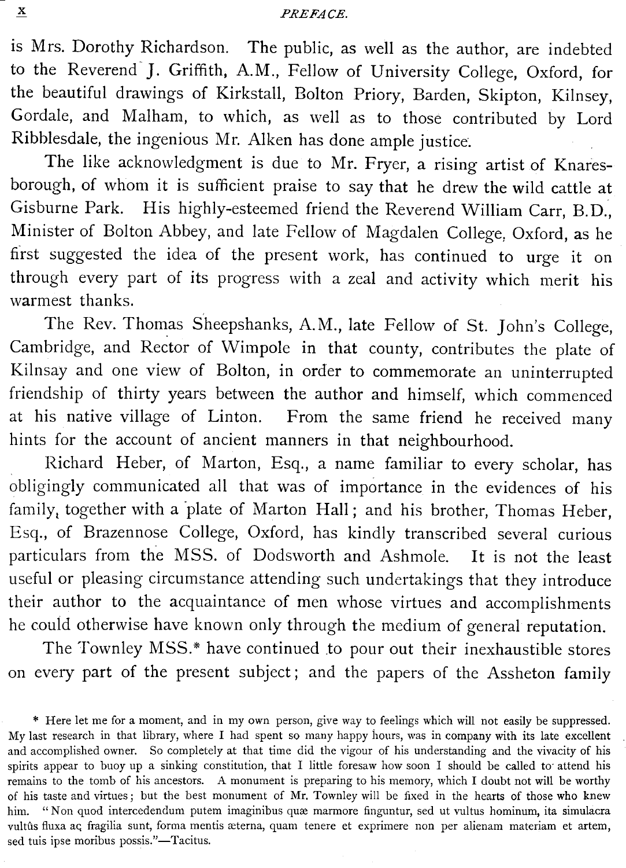is Mrs. Dorothy Richardson. The public, as well as the author, are indebted to the Reverend J. Griffith, A.M., Fellow of University College, Oxford, for the beautiful drawings of Kirkstall, Bolton Priory, Barden, Skipton, Kilnsey, Gordale, and Malham, to which, as well as to those contributed by Lord Ribblesdale, the ingenious Mr . Alken has done ample justice .

The like acknowledgment is due to Mr. Fryer, a rising artist of Knaresborough, of whom it is sufficient praise to say that he drew the wild cattle at Gisburne Park. His highly-esteemed friend the Reverend William Carr, B.D., Minister of Bolton Abbey, and late Fellow of Magdalen College, Oxford, as he first suggested the idea of the present work, has continued to urge it on through every part of its progress with a zeal and activity which merit his warmest thanks.

The Rev. Thomas Sheepshanks, A.M ., late Fellow of St. John's College, Cambridge, and Rector of Wimpole in that county, contributes the plate of Kilnsay and one view of Bolton, in order to commemorate an uninterrupted friendship of thirty years between the author and himself, which commenced at his native village of Linton. From the same friend he received many hints for the account of ancient manners in that neighbourhood.

Richard Heber, of Marton, Esq., a name familiar to every scholar, has obligingly communicated all that was of importance in the evidences of his family, together with a 'plate of Marton Hall ; and his brother, Thomas Heber, Esq., of Brazennose College, Oxford, has kindly transcribed several curious particulars from the MSS. of Dodsworth and Ashmole. It is not the least useful or pleasing circumstance attending such undertakings that they introduce their author to the acquaintance of men whose virtues and accomplishments he could otherwise have known only through the medium of general reputation.

The Townley MSS.\* have continued to pour out their inexhaustible stores on every part of the present subject ; and the papers of the Assheton family

x  $\overline{a}$ 

<sup>\*</sup> Here let me for a moment, and in my own person, give way to feelings which will not easily be suppressed . My last research in that library, where I had spent so many happy hours, was in company with its late excellent and accomplished owner. So completely at that time did the vigour of his understanding and the vivacity of his spirits appear to buoy up a sinking constitution, that I little foresaw how soon I should be called to attend his remains to the tomb of his ancestors . A monument is preparing to his memory, which I doubt not will be worthy of his taste and virtues ; but the best monument of Mr . Townley will be fixed in the hearts of those who knew him. " Non quod intercedendum putem imaginibus quae marmore finguntur, sed ut vultus hominum, ita simulacra vultûs fluxa aç fragilia sunt, forma mentis æterna, quam tenere et exprimere non per alienam materiam et artem, sed tuis ipse moribus possis."-Tacitus.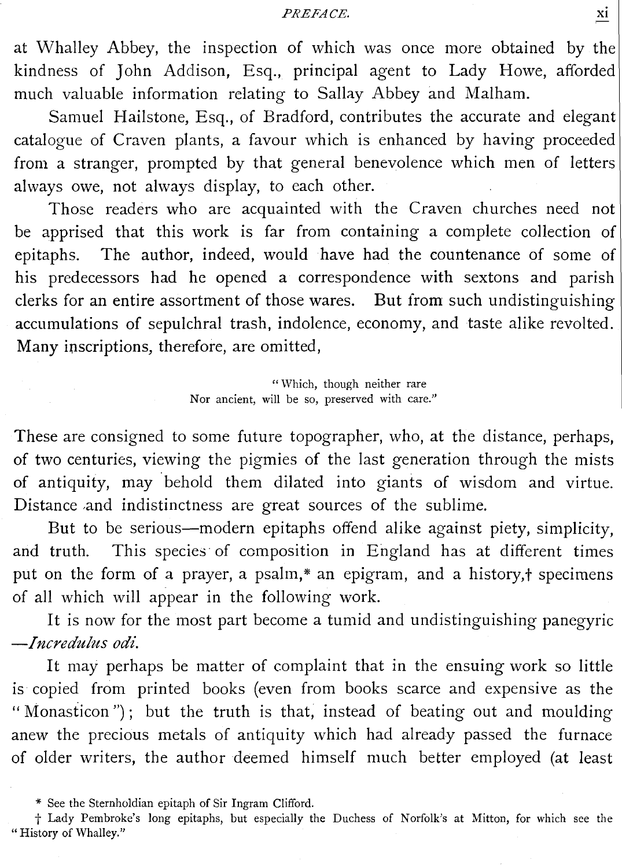PREFACE.

at Whalley Abbey,<br>kindness of John<br>much valuable info at Whalley Abbey, the inspection of which was once more obtained by the kindness of John Addison, Esq., principal agent to Lady Howe, afforded much valuable information relating to Sallay Abbey and Malham.

Samuel Hailstone, Esq., of Bradford, contributes the accurate and elegant catalogue of Craven plants, a favour which is enhanced by having proceeded from a stranger, prompted by that general benevolence which men of letters always owe, not always display, to each other.

Those readers who are acquainted with the Craven churches need not be apprised that this work is far from containing a complete collection of epitaphs. The author, indeed, would have had the countenance of some of his predecessors had he opened a correspondence with sextons and parish clerks for an entire assortment of those wares. But from such undistinguishing accumulations of sepulchral trash, indolence, economy, and taste alike revolted . Many inscriptions, therefore, are omitted,

> " Which, though neither rare Nor ancient, will be so, preserved with care."

These are consigned to some future topographer, who, at the distance, perhaps, of two centuries, viewing the pigmies of the last generation through the mists of antiquity, may behold them dilated into giants of wisdom and virtue. Distance and indistinctness are great sources of the sublime.

But to be serious-modern epitaphs offend alike against piety, simplicity, and truth. This species of composition in England has at different times put on the form of a prayer, a psalm,\* an epigram, and a history,† specimens of all which will appear in the following work .

It is now for the most part become a tumid and undistinguishing panegyric -Incredulus odi.

It may perhaps be matter of complaint that in the ensuing work so little is copied from printed books (even from books scarce and expensive as the " Monasticon"); but the truth is that, instead of beating out and moulding anew the precious metals of antiquity which had already passed the furnace of older writers, the author deemed himself much better employed (at least

<sup>\*</sup> See the Sternholdian epitaph of Sir Ingram Clifford .

t Lady Pembroke's long epitaphs, but especially the Duchess of Norfolk's at Mitton, for which see the " History of Whalley."